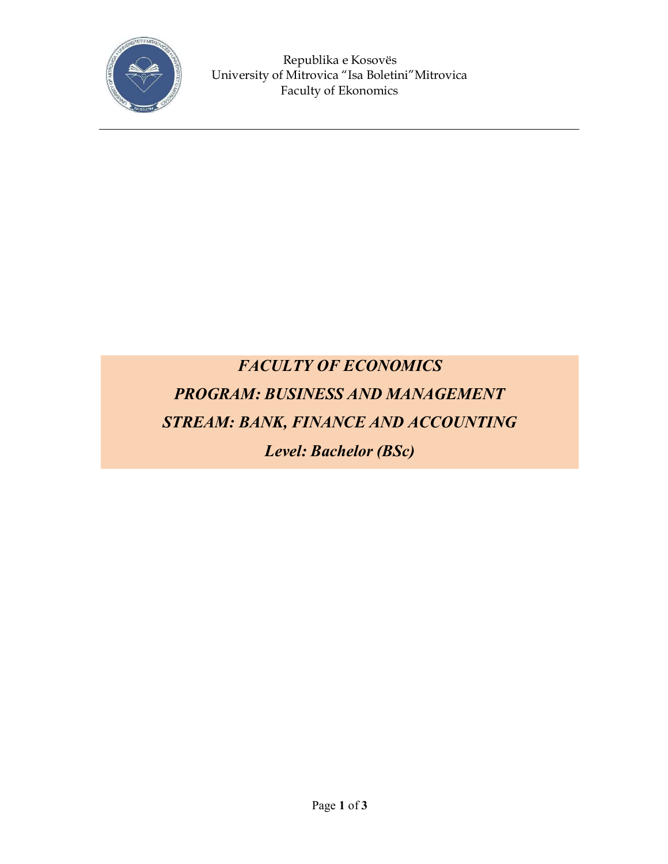

Republika e Kosovës University of Mitrovica "Isa Boletini"Mitrovica Faculty of Ekonomics

## *FACULTY OF ECONOMICS PROGRAM: BUSINESS AND MANAGEMENT STREAM: BANK, FINANCE AND ACCOUNTING Level: Bachelor (BSc)*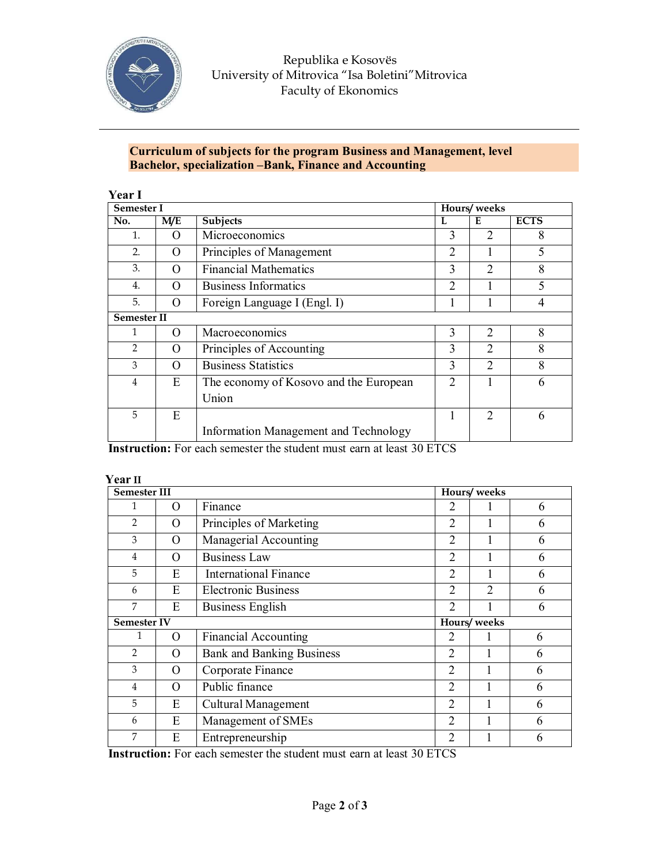

Republika e Kosovës University of Mitrovica "Isa Boletini"Mitrovica Faculty of Ekonomics

## **Curriculum of subjects for the program Business and Management, level Bachelor, specialization –Bank, Finance and Accounting**

| <b>Semester I</b>  |          |                                                 | Hours/weeks    |                             |             |  |
|--------------------|----------|-------------------------------------------------|----------------|-----------------------------|-------------|--|
| No.                | M/E      | Subjects                                        | L              | E                           | <b>ECTS</b> |  |
| 1.                 | ( )      | Microeconomics                                  | 3              | $\mathcal{D}$               | 8           |  |
| $\overline{2}$ .   | $\Omega$ | Principles of Management                        | $\overline{2}$ |                             | 5           |  |
| 3.                 | O        | <b>Financial Mathematics</b>                    | 3              | $\mathfrak{D}$              | 8           |  |
| $\overline{4}$ .   | O        | <b>Business Informatics</b>                     | $\overline{2}$ |                             | 5           |  |
| 5.                 | O        | Foreign Language I (Engl. I)                    |                |                             | 4           |  |
| <b>Semester II</b> |          |                                                 |                |                             |             |  |
| 1                  | O        | Macroeconomics                                  | 3              | $\mathcal{D}_{\mathcal{L}}$ | 8           |  |
| $\overline{2}$     | O        | Principles of Accounting                        | 3              | $\mathcal{D}_{\mathcal{L}}$ | 8           |  |
| 3                  | O        | <b>Business Statistics</b>                      | 3              | $\overline{2}$              | 8           |  |
| 4                  | E        | The economy of Kosovo and the European<br>Union | $\overline{2}$ |                             | 6           |  |
| 5                  | E        |                                                 |                | $\overline{2}$              | 6           |  |
|                    |          | Information Management and Technology           |                |                             |             |  |

**Instruction:** For each semester the student must earn at least 30 ETCS

## **Year II**

| <b>Semester III</b> |          |                                  | Hours/weeks    |                |   |  |  |
|---------------------|----------|----------------------------------|----------------|----------------|---|--|--|
| 1                   | O        | Finance                          | 2              |                | 6 |  |  |
| $\overline{2}$      | O        | Principles of Marketing          | $\overline{2}$ |                | 6 |  |  |
| 3                   | O        | Managerial Accounting            | 2              |                | 6 |  |  |
| 4                   | O        | <b>Business Law</b>              | $\overline{2}$ |                | 6 |  |  |
| 5                   | E        | <b>International Finance</b>     | $\overline{2}$ |                | 6 |  |  |
| 6                   | E        | <b>Electronic Business</b>       | $\overline{2}$ | $\overline{2}$ | 6 |  |  |
| 7                   | E        | <b>Business English</b>          | $\overline{2}$ |                | 6 |  |  |
| <b>Semester IV</b>  |          |                                  | Hours/weeks    |                |   |  |  |
| 1                   | O        | <b>Financial Accounting</b>      | 2              |                | 6 |  |  |
| $\overline{2}$      | $\Omega$ | <b>Bank and Banking Business</b> | $\overline{2}$ |                | 6 |  |  |
| 3                   | O        | Corporate Finance                | $\overline{2}$ |                | 6 |  |  |
| 4                   | O        | Public finance                   | $\overline{2}$ |                | 6 |  |  |
| 5                   | E        | Cultural Management              | $\overline{2}$ |                | 6 |  |  |
| 6                   | E        | Management of SMEs               | $\overline{2}$ |                | 6 |  |  |
| 7                   | E        | Entrepreneurship                 | $\overline{2}$ |                | 6 |  |  |

**Instruction:** For each semester the student must earn at least 30 ETCS